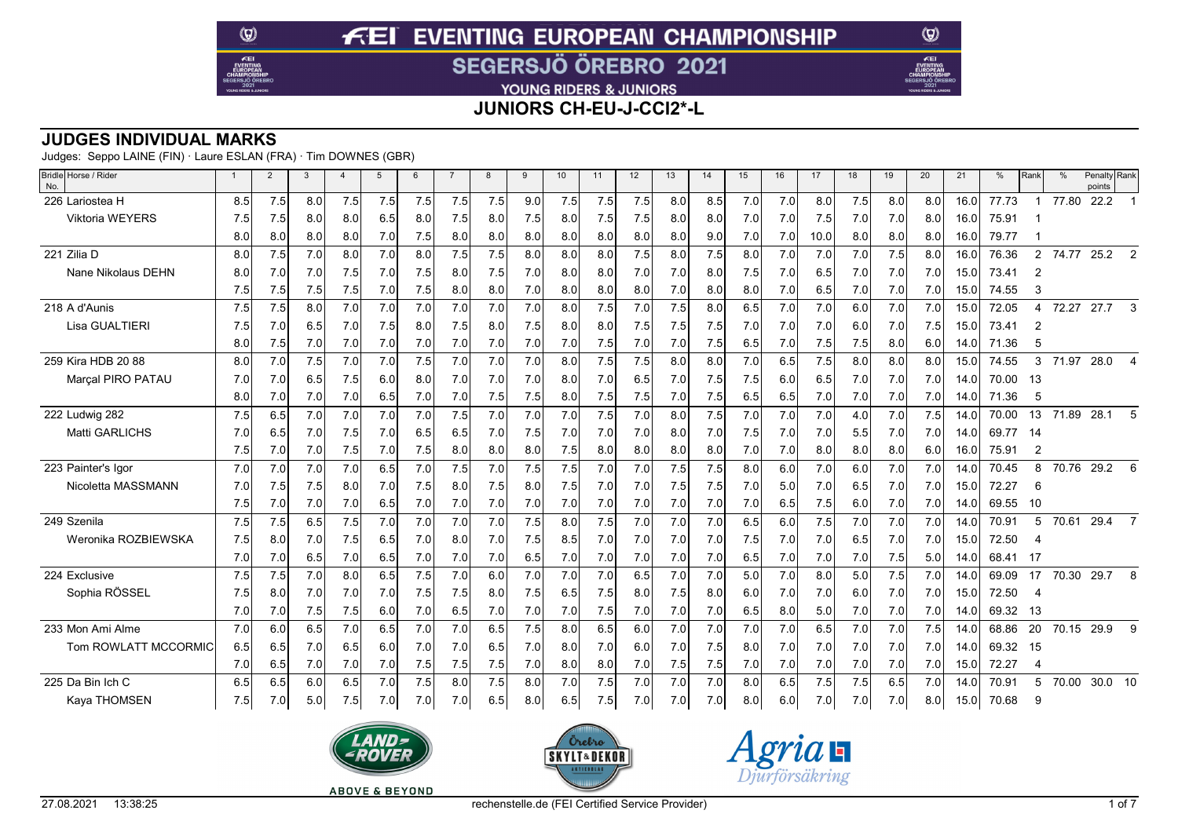YOUNG RIDERS & JUNIORS

**JUNIORS CH-EU-J-CCI2\*-L**

### **JUDGES INDIVIDUAL MARKS**

Judges: Seppo LAINE (FIN) · Laure ESLAN (FRA) · Tim DOWNES (GBR)

 $\circledcirc$ 

 $E$ EI

| Bridle Horse / Rider<br>No. | $\overline{1}$ | $\overline{2}$ | 3   | $\overline{A}$ | $\overline{5}$ | -6  | $\overline{7}$ | 8   | 9   | 10  | 11  | 12  | 13  | 14  | 15  | 16  | 17   | 18  | 19  | 20  | 21   | $\frac{0}{0}$ | Rank           | $\frac{0}{0}$ | Penalty Rank<br>points |                         |
|-----------------------------|----------------|----------------|-----|----------------|----------------|-----|----------------|-----|-----|-----|-----|-----|-----|-----|-----|-----|------|-----|-----|-----|------|---------------|----------------|---------------|------------------------|-------------------------|
| 226 Lariostea H             | 8.5            | 7.5            | 8.0 | 7.5            | 7.5            | 7.5 | 7.5            | 7.5 | 9.0 | 7.5 | 7.5 | 7.5 | 8.0 | 8.5 | 7.0 | 7.0 | 8.0  | 7.5 | 8.0 | 8.0 | 16.0 | 77.73         |                | 77.80         | 22.2                   |                         |
| <b>Viktoria WEYERS</b>      | 7.5            | 7.5            | 8.0 | 8.0            | 6.5            | 8.0 | 7.5            | 8.0 | 7.5 | 8.0 | 7.5 | 7.5 | 8.0 | 8.0 | 7.0 | 7.0 | 7.5  | 7.0 | 7.0 | 8.0 | 16.0 | 75.91         |                |               |                        |                         |
|                             | 8.0            | 8.0            | 8.0 | 8.0            | 7.0            | 7.5 | 8.0            | 8.0 | 8.0 | 8.0 | 8.0 | 8.0 | 8.0 | 9.0 | 7.0 | 7.0 | 10.0 | 8.0 | 8.0 | 8.0 | 16.0 | 79.77         |                |               |                        |                         |
| 221 Zilia D                 | 8.0            | 7.5            | 7.0 | 8.0            | 7.0            | 8.0 | 7.5            | 7.5 | 8.0 | 8.0 | 8.0 | 7.5 | 8.0 | 7.5 | 8.0 | 7.0 | 7.0  | 7.0 | 7.5 | 8.0 | 16.0 | 76.36         | $\overline{2}$ | 74.77         | $25.2$ 2               |                         |
| Nane Nikolaus DEHN          | 8.0            | 7.0            | 7.0 | 7.5            | 7.0            | 7.5 | 8.0            | 7.5 | 7.0 | 8.0 | 8.0 | 7.0 | 7.0 | 8.0 | 7.5 | 7.0 | 6.5  | 7.0 | 7.0 | 7.0 | 15.0 | 73.41         | 2              |               |                        |                         |
|                             | 7.5            | 7.5            | 7.5 | 7.5            | 7.0            | 7.5 | 8.0            | 8.0 | 7.0 | 8.0 | 8.0 | 8.0 | 7.0 | 8.0 | 8.0 | 7.0 | 6.5  | 7.0 | 7.0 | 7.0 | 15.0 | 74.55         | 3              |               |                        |                         |
| 218 A d'Aunis               | 7.5            | 7.5            | 8.0 | 7.0            | 7.0            | 7.0 | 7.0            | 7.0 | 7.0 | 8.0 | 7.5 | 7.0 | 7.5 | 8.0 | 6.5 | 7.0 | 7.0  | 6.0 | 7.0 | 7.0 | 15.0 | 72.05         | Δ              | 72.27         | 27.7                   | 3                       |
| Lisa GUALTIERI              | 7.5            | 7.0            | 6.5 | 7.0            | 7.5            | 8.0 | 7.5            | 8.0 | 7.5 | 8.0 | 8.0 | 7.5 | 7.5 | 7.5 | 7.0 | 7.0 | 7.0  | 6.0 | 7.0 | 7.5 | 15.0 | 73.41         | 2              |               |                        |                         |
|                             | 8.0            | 7.5            | 7.0 | 7.0            | 7.0            | 7.0 | 7.0            | 7.0 | 7.0 | 7.0 | 7.5 | 7.0 | 7.0 | 7.5 | 6.5 | 7.0 | 7.5  | 7.5 | 8.0 | 6.0 | 14.0 | 71.36         | 5              |               |                        |                         |
| 259 Kira HDB 20 88          | 8.0            | 7.0            | 7.5 | 7.0            | 7.0            | 7.5 | 7.0            | 7.0 | 7.0 | 8.0 | 7.5 | 7.5 | 8.0 | 8.0 | 7.0 | 6.5 | 7.5  | 8.0 | 8.0 | 8.0 | 15.0 | 74.55         | 3              | 71.97         | 28.0                   | $\overline{\mathbf{A}}$ |
| Marçal PIRO PATAU           | 7.0            | 7.0            | 6.5 | 7.5            | 6.0            | 8.0 | 7.0            | 7.0 | 7.0 | 8.0 | 7.0 | 6.5 | 7.0 | 7.5 | 7.5 | 6.0 | 6.5  | 7.0 | 7.0 | 7.0 | 14.0 | 70.00         | -13            |               |                        |                         |
|                             | 8.0            | 7.0            | 7.0 | 7.0            | 6.5            | 7.0 | 7.0            | 7.5 | 7.5 | 8.0 | 7.5 | 7.5 | 7.0 | 7.5 | 6.5 | 6.5 | 7.0  | 7.0 | 7.0 | 7.0 | 14.0 | 71.36         | 5              |               |                        |                         |
| 222 Ludwig 282              | 7.5            | 6.5            | 7.0 | 7.0            | 7.0            | 7.0 | 7.5            | 7.0 | 7.0 | 7.0 | 7.5 | 7.0 | 8.0 | 7.5 | 7.0 | 7.0 | 7.0  | 4.0 | 7.0 | 7.5 | 140  | 70.00         | 13             | 71.89         | 28.1                   | 5                       |
| <b>Matti GARLICHS</b>       | 7.0            | 6.5            | 7.0 | 7.5            | 7.0            | 6.5 | 6.5            | 7.0 | 7.5 | 7.0 | 7.0 | 7.0 | 8.0 | 7.0 | 7.5 | 7.0 | 7.0  | 5.5 | 7.0 | 7.0 | 14.0 | 69.77         | - 14           |               |                        |                         |
|                             | 7.5            | 7.0            | 7.0 | 7.5            | 7.0            | 7.5 | 8.0            | 8.0 | 8.0 | 7.5 | 8.0 | 8.0 | 8.0 | 8.0 | 7.0 | 7.0 | 8.0  | 8.0 | 8.0 | 6.0 | 16.0 | 75.91         | $\overline{2}$ |               |                        |                         |
| 223 Painter's Igor          | 7.0            | 7.0            | 7.0 | 7.0            | 6.5            | 7.0 | 7.5            | 7.0 | 7.5 | 7.5 | 7.0 | 7.0 | 7.5 | 7.5 | 8.0 | 6.0 | 7.0  | 6.0 | 7.0 | 7.0 | 14.0 | 70.45         | 8              | 70.76         | 29.2                   | 6                       |
| Nicoletta MASSMANN          | 7.0            | 7.5            | 7.5 | 8.0            | 7.0            | 7.5 | 8.0            | 7.5 | 8.0 | 7.5 | 7.0 | 7.0 | 7.5 | 7.5 | 7.0 | 5.0 | 7.0  | 6.5 | 7.0 | 7.0 | 15.0 | 72.27         | 6              |               |                        |                         |
|                             | 7.5            | 7.0            | 7.0 | 7.0            | 6.5            | 7.0 | 7.0            | 7.0 | 7.0 | 7.0 | 7.0 | 7.0 | 7.0 | 7.0 | 7.0 | 6.5 | 7.5  | 6.0 | 7.0 | 7.0 | 14.0 | 69.55         | 10             |               |                        |                         |
| 249 Szenila                 | 7.5            | 7.5            | 6.5 | 7.5            | 7.0            | 7.0 | 7.0            | 7.0 | 7.5 | 8.0 | 7.5 | 7.0 | 7.0 | 7.0 | 6.5 | 6.0 | 7.5  | 7.0 | 7.0 | 7.0 | 14.0 | 70.91         | 5              | 70.61         | 29.4                   | $\overline{7}$          |
| Weronika ROZBIEWSKA         | 7.5            | 8.0            | 7.0 | 7.5            | 6.5            | 7.0 | 8.0            | 7.0 | 7.5 | 8.5 | 7.0 | 7.0 | 7.0 | 7.0 | 7.5 | 7.0 | 7.0  | 6.5 | 7.0 | 7.0 | 15.0 | 72.50         | 4              |               |                        |                         |
|                             | 7.0            | 7.0            | 6.5 | 7.0            | 6.5            | 7.0 | 7.0            | 7.0 | 6.5 | 7.0 | 7.0 | 7.0 | 7.0 | 7.0 | 6.5 | 7.0 | 7.0  | 7.0 | 7.5 | 5.0 | 14.0 | 68.41         | -17            |               |                        |                         |
| 224 Exclusive               | 7.5            | 7.5            | 7.0 | 8.0            | 6.5            | 7.5 | 7.0            | 6.0 | 7.0 | 7.0 | 7.0 | 6.5 | 7.0 | 7.0 | 5.0 | 7.0 | 8.0  | 5.0 | 7.5 | 7.0 | 14.0 | 69.09         | 17             | 70.30         | 29.7                   | 8                       |
| Sophia RÖSSEL               | 7.5            | 8.0            | 7.0 | 7.0            | 7.0            | 7.5 | 7.5            | 8.0 | 7.5 | 6.5 | 7.5 | 8.0 | 7.5 | 8.0 | 6.0 | 7.0 | 7.0  | 6.0 | 7.0 | 7.0 | 15.0 | 72.50         | $\Delta$       |               |                        |                         |
|                             | 7.0            | 7.0            | 7.5 | 7.5            | 6.0            | 7.0 | 6.5            | 7.0 | 7.0 | 7.0 | 7.5 | 7.0 | 7.0 | 7.0 | 6.5 | 8.0 | 5.0  | 7.0 | 7.0 | 7.0 | 14.0 | 69.32         | - 13           |               |                        |                         |
| 233 Mon Ami Alme            | 7.0            | 6.0            | 6.5 | 7.0            | 6.5            | 7.0 | 7.0            | 6.5 | 7.5 | 8.0 | 6.5 | 6.0 | 7.0 | 7.0 | 7.0 | 7.0 | 6.5  | 7.0 | 7.0 | 7.5 | 14.0 | 68.86         | 20             | 70.15         | 29.9                   | 9                       |
| Tom ROWLATT MCCORMIC        | 6.5            | 6.5            | 7.0 | 6.5            | 6.0            | 7.0 | 7.0            | 6.5 | 7.0 | 8.0 | 7.0 | 6.0 | 7.0 | 7.5 | 8.0 | 7.0 | 7.0  | 7.0 | 7.0 | 7.0 | 14.0 | 69.32         | 15             |               |                        |                         |
|                             | 7.0            | 6.5            | 7.0 | 7.0            | 7.0            | 7.5 | 7.5            | 7.5 | 7.0 | 8.0 | 8.0 | 7.0 | 7.5 | 7.5 | 7.0 | 7.0 | 7.0  | 7.0 | 7.0 | 7.0 | 15.0 | 72.27         | 4              |               |                        |                         |
| 225 Da Bin Ich C            | 6.5            | 6.5            | 6.0 | 6.5            | 7.0            | 7.5 | 8.0            | 7.5 | 8.0 | 7.0 | 7.5 | 7.0 | 7.0 | 7.0 | 8.0 | 6.5 | 7.5  | 7.5 | 6.5 | 7.0 | 14.0 | 70.91         | 5              | 70.00         | 30.0 10                |                         |
| Kaya THOMSEN                | 7.5            | 7.0            | 5.0 | 7.5            | 7.0            | 7.0 | 7.0            | 6.5 | 8.0 | 6.5 | 7.5 | 7.0 | 7.0 | 7.0 | 8.0 | 6.0 | 7.0  | 7.0 | 7.0 | 8.0 | 15.0 | 70.68         | 9              |               |                        |                         |







 $\circledcirc$ 

Æ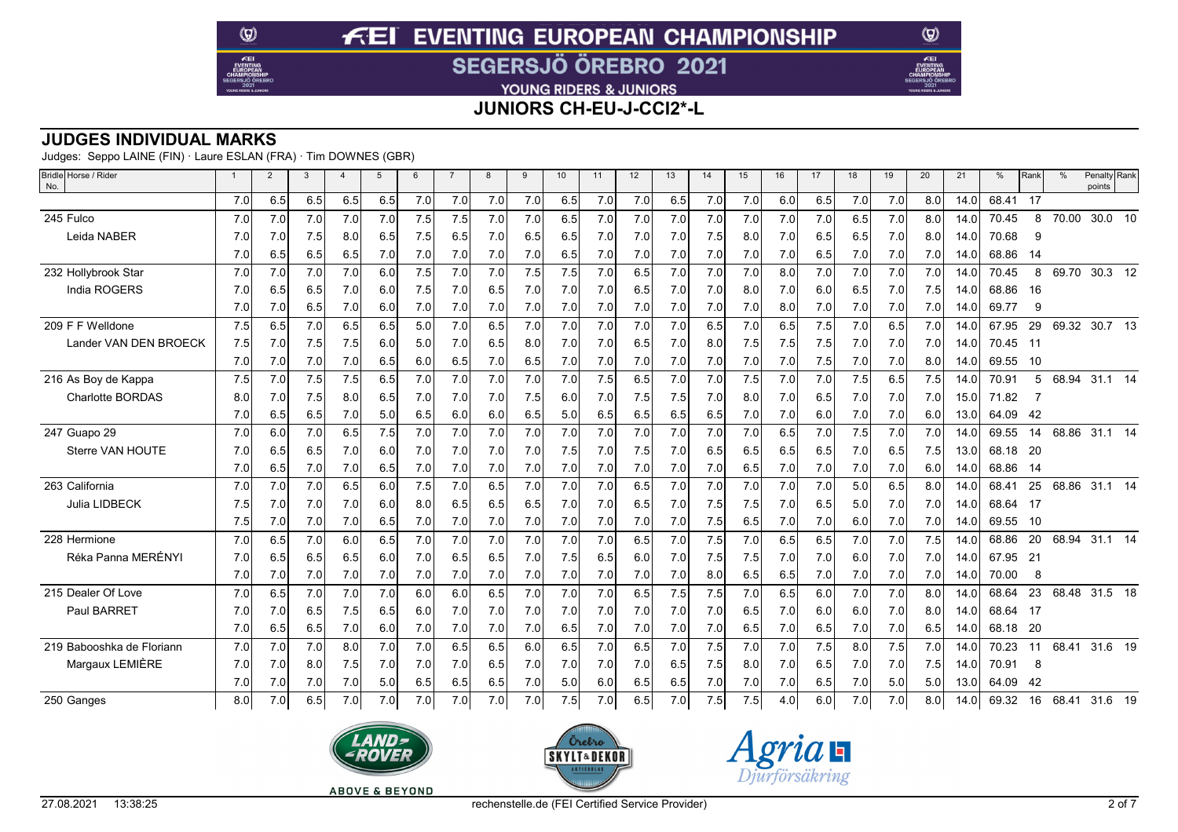YOUNG RIDERS & JUNIORS

**JUNIORS CH-EU-J-CCI2\*-L**

### **JUDGES INDIVIDUAL MARKS**

Judges: Seppo LAINE (FIN) · Laure ESLAN (FRA) · Tim DOWNES (GBR)

 $\circledcirc$ 

 $E$ EI

| Bridle Horse / Rider<br>No. | $\overline{1}$ | $\overline{2}$ | 3   | $\overline{a}$ | 5   | 6   | $\overline{7}$ | 8   | 9   | 10  | 11  | 12  | 13  | 14  | 15  | 16  | 17  | 18  | 19  | 20  | 21                | %        | Rank | $\%$          | Penalty Rank<br>points |  |
|-----------------------------|----------------|----------------|-----|----------------|-----|-----|----------------|-----|-----|-----|-----|-----|-----|-----|-----|-----|-----|-----|-----|-----|-------------------|----------|------|---------------|------------------------|--|
|                             | 7.0            | 6.5            | 6.5 | 6.5            | 6.5 | 7.0 | 7.0            | 7.0 | 7.0 | 6.5 | 7.0 | 7.0 | 6.5 | 7.0 | 7.0 | 6.0 | 6.5 | 7.0 | 7.0 | 8.0 | 14.0              | 68.41 17 |      |               |                        |  |
| 245 Fulco                   | 7.0            | 7.0            | 7.0 | 7.0            | 7.0 | 7.5 | 7.5            | 7.0 | 7.0 | 6.5 | 7.0 | 7.0 | 7.0 | 7.0 | 7.0 | 7.0 | 7.0 | 6.5 | 7.0 | 8.0 | 14.0              | 70.45    | 8    | 70.00         | 30.0 10                |  |
| Leida NABER                 | 7.0            | 7.0            | 7.5 | 8.0            | 6.5 | 7.5 | 6.5            | 7.0 | 6.5 | 6.5 | 7.0 | 7.0 | 7.0 | 7.5 | 8.0 | 7.0 | 6.5 | 6.5 | 7.0 | 8.0 | 14.0 <sub>1</sub> | 70.68    | -9   |               |                        |  |
|                             | 7.0            | 6.5            | 6.5 | 6.5            | 7.0 | 7.0 | 7.0            | 7.0 | 7.0 | 6.5 | 7.0 | 7.0 | 7.0 | 7.0 | 7.0 | 7.0 | 6.5 | 7.0 | 7.0 | 7.0 | 14.0              | 68.86    | 14   |               |                        |  |
| 232 Hollybrook Star         | 7.0            | 7.0            | 7.0 | 7.0            | 6.0 | 7.5 | 7.0            | 7.0 | 7.5 | 7.5 | 7.0 | 6.5 | 7.0 | 7.0 | 7.0 | 8.0 | 7.0 | 7.0 | 7.0 | 7.0 | 14.0              | 70.45    | 8    | 69.70         | 30.3 $\overline{12}$   |  |
| India ROGERS                | 7.0            | 6.5            | 6.5 | 7.0            | 6.0 | 7.5 | 7.0            | 6.5 | 7.0 | 7.0 | 7.0 | 6.5 | 7.0 | 7.0 | 8.0 | 7.0 | 6.0 | 6.5 | 7.0 | 7.5 | 14.0              | 68.86    | -16  |               |                        |  |
|                             | 7.0            | 7.0            | 6.5 | 7.0            | 6.0 | 7.0 | 7.0            | 7.0 | 7.0 | 7.0 | 7.0 | 7.0 | 7.0 | 7.0 | 7.0 | 8.0 | 7.0 | 7.0 | 7.0 | 7.0 | 14.0              | 69.77    | -9   |               |                        |  |
| 209 F F Welldone            | 7.5            | 6.5            | 7.0 | 6.5            | 6.5 | 5.0 | 7.0            | 6.5 | 7.0 | 7.0 | 7.0 | 7.0 | 7.0 | 6.5 | 7.0 | 6.5 | 7.5 | 7.0 | 6.5 | 7.0 | 14.0              | 67.95    | 29   | 69.32         | 30.7 13                |  |
| Lander VAN DEN BROECK       | 7.5            | 7.0            | 7.5 | 7.5            | 6.0 | 5.0 | 7.0            | 6.5 | 8.0 | 7.0 | 7.0 | 6.5 | 7.0 | 8.0 | 7.5 | 7.5 | 7.5 | 7.0 | 7.0 | 7.0 | 14.0              | 70.45    | 11   |               |                        |  |
|                             | 7.0            | 7.0            | 7.0 | 7.0            | 6.5 | 6.0 | 6.5            | 7.0 | 6.5 | 7.0 | 7.0 | 7.0 | 7.0 | 7.0 | 7.0 | 7.0 | 7.5 | 7.0 | 7.0 | 8.0 | 14.0              | 69.55    | 10   |               |                        |  |
| 216 As Boy de Kappa         | 7.5            | 7.0            | 7.5 | 7.5            | 6.5 | 7.0 | 7.0            | 7.0 | 7.0 | 7.0 | 7.5 | 6.5 | 7.0 | 7.0 | 7.5 | 7.0 | 7.0 | 7.5 | 6.5 | 7.5 | 14.0              | 70.91    | 5    | 68.94         | $31.1$ 14              |  |
| <b>Charlotte BORDAS</b>     | 8.0            | 7.0            | 7.5 | 8.0            | 6.5 | 7.0 | 7.0            | 7.0 | 7.5 | 6.0 | 7.0 | 7.5 | 7.5 | 7.0 | 8.0 | 7.0 | 6.5 | 7.0 | 7.0 | 7.0 | 15.0              | 71.82    |      |               |                        |  |
|                             | 7.0            | 6.5            | 6.5 | 7.0            | 5.0 | 6.5 | 6.0            | 6.0 | 6.5 | 5.0 | 6.5 | 6.5 | 6.5 | 6.5 | 7.0 | 7.0 | 6.0 | 7.0 | 7.0 | 6.0 | 13.0              | 64.09    | 42   |               |                        |  |
| 247 Guapo 29                | 7.0            | 6.0            | 7.0 | 6.5            | 7.5 | 7.0 | 7.0            | 7.0 | 7.0 | 7.0 | 7.0 | 7.0 | 7.0 | 7.0 | 7.0 | 6.5 | 7.0 | 7.5 | 7.0 | 7.0 | 14.0              | 69.55    | 14   | 68.86         | 31.1 14                |  |
| Sterre VAN HOUTE            | 7.0            | 6.5            | 6.5 | 7.0            | 6.0 | 7.0 | 7.0            | 7.0 | 7.0 | 7.5 | 7.0 | 7.5 | 7.0 | 6.5 | 6.5 | 6.5 | 6.5 | 7.0 | 6.5 | 7.5 | 13.0              | 68.18    | -20  |               |                        |  |
|                             | 7.0            | 6.5            | 7.0 | 7.0            | 6.5 | 7.0 | 7.0            | 7.0 | 7.0 | 7.0 | 7.0 | 7.0 | 7.0 | 7.0 | 6.5 | 7.0 | 7.0 | 7.0 | 7.0 | 6.0 | 14.0              | 68.86    | -14  |               |                        |  |
| 263 California              | 7.0            | 7.0            | 7.0 | 6.5            | 6.0 | 7.5 | 7.0            | 6.5 | 7.0 | 7.0 | 7.0 | 6.5 | 7.0 | 7.0 | 7.0 | 7.0 | 7.0 | 5.0 | 6.5 | 8.0 | 14.0              | 68.41    | 25   | 68.86         | $31.1$ 14              |  |
| Julia LIDBECK               | 7.5            | 7.0            | 7.0 | 7.0            | 6.0 | 8.0 | 6.5            | 6.5 | 6.5 | 7.0 | 7.0 | 6.5 | 7.0 | 7.5 | 7.5 | 7.0 | 6.5 | 5.0 | 7.0 | 7.0 | 14.0              | 68.64    | 17   |               |                        |  |
|                             | 7.5            | 7.0            | 7.0 | 7.0            | 6.5 | 7.0 | 7.0            | 7.0 | 7.0 | 7.0 | 7.0 | 7.0 | 7.0 | 7.5 | 6.5 | 7.0 | 7.0 | 6.0 | 7.0 | 7.0 | 14.0              | 69.55    | - 10 |               |                        |  |
| 228 Hermione                | 7.0            | 6.5            | 7.0 | 6.0            | 6.5 | 7.0 | 7.0            | 7.0 | 7.0 | 7.0 | 7.0 | 6.5 | 7.0 | 7.5 | 7.0 | 6.5 | 6.5 | 7.0 | 7.0 | 7.5 | 14.0              | 68.86    | 20   | 68.94         | $31.1$ 14              |  |
| Réka Panna MERÉNYI          | 7.0            | 6.5            | 6.5 | 6.5            | 6.0 | 7.0 | 6.5            | 6.5 | 7.0 | 7.5 | 6.5 | 6.0 | 7.0 | 7.5 | 7.5 | 7.0 | 7.0 | 6.0 | 7.0 | 7.0 | 14.0              | 67.95    | 21   |               |                        |  |
|                             | 7.0            | 7.0            | 7.0 | 7.0            | 7.0 | 7.0 | 7.0            | 7.0 | 7.0 | 7.0 | 7.0 | 7.0 | 7.0 | 8.0 | 6.5 | 6.5 | 7.0 | 7.0 | 7.0 | 7.0 | 14.0              | 70.00    | 8    |               |                        |  |
| 215 Dealer Of Love          | 7.0            | 6.5            | 7.0 | 7.0            | 7.0 | 6.0 | 6.0            | 6.5 | 7.0 | 7.0 | 7.0 | 6.5 | 7.5 | 7.5 | 7.0 | 6.5 | 6.0 | 7.0 | 7.0 | 8.0 | 14.0              | 68.64    | 23   | 68.48         | 31.5 18                |  |
| Paul BARRET                 | 7.0            | 7.0            | 6.5 | 7.5            | 6.5 | 6.0 | 7.0            | 7.0 | 7.0 | 7.0 | 7.0 | 7.0 | 7.0 | 7.0 | 6.5 | 7.0 | 6.0 | 6.0 | 7.0 | 8.0 | 14.0              | 68.64    | 17   |               |                        |  |
|                             | 7.0            | 6.5            | 6.5 | 7.0            | 6.0 | 7.0 | 7.0            | 7.0 | 7.0 | 6.5 | 7.0 | 7.0 | 7.0 | 7.0 | 6.5 | 7.0 | 6.5 | 7.0 | 7.0 | 6.5 | 14.0              | 68.18    | -20  |               |                        |  |
| 219 Babooshka de Floriann   | 7.0            | 7.0            | 7.0 | 8.0            | 7.0 | 7.0 | 6.5            | 6.5 | 6.0 | 6.5 | 7.0 | 6.5 | 7.0 | 7.5 | 7.0 | 7.0 | 7.5 | 8.0 | 7.5 | 7.0 | 14.0              | 70.23    | 11   | 68.41         | 31.6 19                |  |
| Margaux LEMIÈRE             | 7.0            | 7.0            | 8.0 | 7.5            | 7.0 | 7.0 | 7.0            | 6.5 | 7.0 | 7.0 | 7.0 | 7.0 | 6.5 | 7.5 | 8.0 | 7.0 | 6.5 | 7.0 | 7.0 | 7.5 | 14.0              | 70.91    | 8    |               |                        |  |
|                             | 7.0            | 7.0            | 7.0 | 7.0            | 5.0 | 6.5 | 6.5            | 6.5 | 7.0 | 5.0 | 6.0 | 6.5 | 6.5 | 7.0 | 7.0 | 7.0 | 6.5 | 7.0 | 5.0 | 5.0 | 13.0              | 64.09    | 42   |               |                        |  |
| 250 Ganges                  | 8.0            | 7.0            | 6.5 | 7.0            | 7.0 | 7.0 | 7.0            | 7.0 | 7.0 | 7.5 | 7.0 | 6.5 | 7.0 | 7.5 | 7.5 | 4.0 | 6.0 | 7.0 | 7.0 | 8.0 | 14.0              | 69.32    | 16   | 68.41 31.6 19 |                        |  |







 $\circledcirc$ 

Æ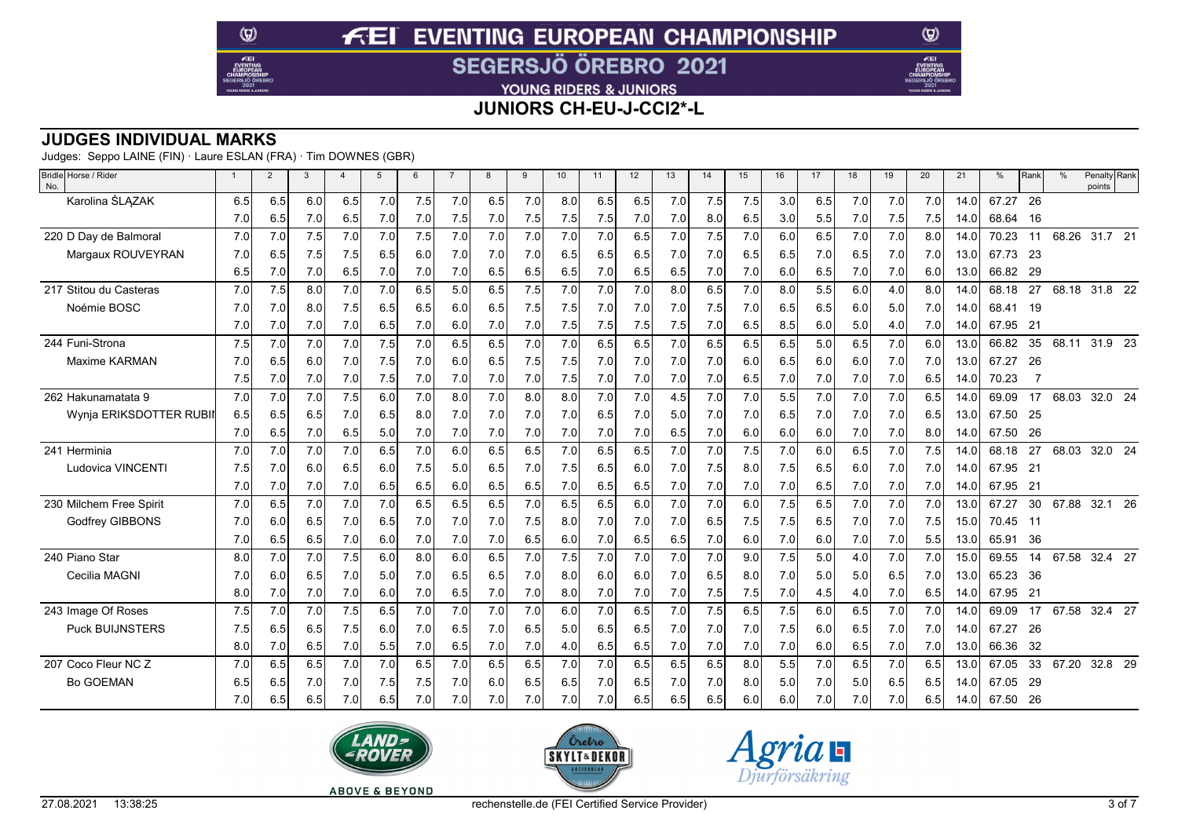YOUNG RIDERS & JUNIORS

**JUNIORS CH-EU-J-CCI2\*-L**

### **JUDGES INDIVIDUAL MARKS**

Judges: Seppo LAINE (FIN) · Laure ESLAN (FRA) · Tim DOWNES (GBR)

 $\circledcirc$ 

 $E$ EI

| Bridle Horse / Rider<br>No. | $\mathbf{1}$ | $\overline{2}$ | 3   | $\overline{4}$ | $\overline{5}$ | 6   |     | 8   | 9   | 10  | 11  | 12  | 13  | 14  | 15  | 16  | 17  | 18  | 19  | 20  | 21   | %     | Rank | $\%$  | Penalty Rank<br>points    |
|-----------------------------|--------------|----------------|-----|----------------|----------------|-----|-----|-----|-----|-----|-----|-----|-----|-----|-----|-----|-----|-----|-----|-----|------|-------|------|-------|---------------------------|
| Karolina ŚLĄZAK             | 6.5          | 6.5            | 6.0 | 6.5            | 7.0            | 7.5 | 7.0 | 6.5 | 7.0 | 8.0 | 6.5 | 6.5 | 7.0 | 7.5 | 7.5 | 3.0 | 6.5 | 7.0 | 7.0 | 7.0 | 14.0 | 67.27 | - 26 |       |                           |
|                             | 7.0          | 6.5            | 7.0 | 6.5            | 7.0            | 7.0 | 7.5 | 7.0 | 7.5 | 7.5 | 7.5 | 7.0 | 7.0 | 8.0 | 6.5 | 3.0 | 5.5 | 7.0 | 7.5 | 7.5 | 14.0 | 68.64 | - 16 |       |                           |
| 220 D Dav de Balmoral       | 7.0          | 7.0            | 7.5 | 7.0            | 7.0            | 7.5 | 7.0 | 7.0 | 7.0 | 7.0 | 7.0 | 6.5 | 7.0 | 7.5 | 7.0 | 6.0 | 6.5 | 7.0 | 7.0 | 8.0 | 14.0 | 70.23 | 11   | 68.26 | 31.7 21                   |
| Margaux ROUVEYRAN           | 7.0          | 6.5            | 7.5 | 7.5            | 6.5            | 6.0 | 7.0 | 7.0 | 7.0 | 6.5 | 6.5 | 6.5 | 7.0 | 7.0 | 6.5 | 6.5 | 7.0 | 6.5 | 7.0 | 7.0 | 13.0 | 67.73 | -23  |       |                           |
|                             | 6.5          | 7.0            | 7.0 | 6.5            | 7.0            | 7.0 | 7.0 | 6.5 | 6.5 | 6.5 | 7.0 | 6.5 | 6.5 | 7.0 | 7.0 | 6.0 | 6.5 | 7.0 | 7.0 | 6.0 | 13.0 | 66.82 | -29  |       |                           |
| 217 Stitou du Casteras      | 7.0          | 7.5            | 8.0 | 7.0            | 7.0            | 6.5 | 5.0 | 6.5 | 7.5 | 7.0 | 7.0 | 7.0 | 8.0 | 6.5 | 7.0 | 8.0 | 5.5 | 6.0 | 4.0 | 8.0 | 14.0 | 68.18 | 27   | 68.18 | 31.8 22                   |
| Noémie BOSC                 | 7.0          | 7.0            | 8.0 | 7.5            | 6.5            | 6.5 | 6.0 | 6.5 | 7.5 | 7.5 | 7.0 | 7.0 | 7.0 | 7.5 | 7.0 | 6.5 | 6.5 | 6.0 | 5.0 | 7.0 | 14.0 | 68.41 | 19   |       |                           |
|                             | 7.0          | 7.0            | 7.0 | 7.0            | 6.5            | 7.0 | 6.0 | 7.0 | 7.0 | 7.5 | 7.5 | 7.5 | 7.5 | 7.0 | 6.5 | 8.5 | 6.0 | 5.0 | 4.0 | 7.0 | 14.0 | 67.95 | 21   |       |                           |
| 244 Funi-Strona             | 7.5          | 7.0            | 7.0 | 7.0            | 7.5            | 7.0 | 6.5 | 6.5 | 7.0 | 7.0 | 6.5 | 6.5 | 7.0 | 6.5 | 6.5 | 6.5 | 5.0 | 6.5 | 7.0 | 6.0 | 13.0 | 66.82 | 35   | 68.11 | $31.9\quad 23$            |
| Maxime KARMAN               | 7.0          | 6.5            | 6.0 | 7.0            | 7.5            | 7.0 | 6.0 | 6.5 | 7.5 | 7.5 | 7.0 | 7.0 | 7.0 | 7.0 | 6.0 | 6.5 | 6.0 | 6.0 | 7.0 | 7.0 | 13.0 | 67.27 | -26  |       |                           |
|                             | 7.5          | 7.0            | 7.0 | 7.0            | 7.5            | 7.0 | 7.0 | 7.0 | 7.0 | 7.5 | 7.0 | 7.0 | 7.0 | 7.0 | 6.5 | 7.0 | 7.0 | 7.0 | 7.0 | 6.5 | 14.0 | 70.23 |      |       |                           |
| 262 Hakunamatata 9          | 7.0          | 7.0            | 7.0 | 7.5            | 6.0            | 7.0 | 8.0 | 7.0 | 8.0 | 8.0 | 7.0 | 7.0 | 4.5 | 7.0 | 7.0 | 5.5 | 7.0 | 7.0 | 7.0 | 6.5 | 14.0 | 69.09 | 17   | 68.03 | 32.0 24                   |
| Wynja ERIKSDOTTER RUBI      | 6.5          | 6.5            | 6.5 | 7.0            | 6.5            | 8.0 | 7.0 | 7.0 | 7.0 | 7.0 | 6.5 | 7.0 | 5.0 | 7.0 | 7.0 | 6.5 | 7.0 | 7.0 | 7.0 | 6.5 | 13.0 | 67.50 | -25  |       |                           |
|                             | 7.0          | 6.5            | 7.0 | 6.5            | 5.0            | 7.0 | 7.0 | 7.0 | 7.0 | 7.0 | 7.0 | 7.0 | 6.5 | 7.0 | 6.0 | 6.0 | 6.0 | 7.0 | 7.0 | 8.0 | 14.0 | 67.50 | 26   |       |                           |
| 241 Herminia                | 7.0          | 7.0            | 7.0 | 7.0            | 6.5            | 7.0 | 6.0 | 6.5 | 6.5 | 7.0 | 6.5 | 6.5 | 7.0 | 7.0 | 7.5 | 7.0 | 6.0 | 6.5 | 7.0 | 7.5 | 14.0 | 68.18 | 27   | 68.03 | 32.0 24                   |
| Ludovica VINCENTI           | 7.5          | 7.0            | 6.0 | 6.5            | 6.0            | 7.5 | 5.0 | 6.5 | 7.0 | 7.5 | 6.5 | 6.0 | 7.0 | 7.5 | 8.0 | 7.5 | 6.5 | 6.0 | 7.0 | 7.0 | 14.0 | 67.95 | 21   |       |                           |
|                             | 7.0          | 7.0            | 7.0 | 7.0            | 6.5            | 6.5 | 6.0 | 6.5 | 6.5 | 7.0 | 6.5 | 6.5 | 7.0 | 7.0 | 7.0 | 7.0 | 6.5 | 7.0 | 7.0 | 7.0 | 14.0 | 67.95 | 21   |       |                           |
| 230 Milchem Free Spirit     | 7.0          | 6.5            | 7.0 | 7.0            | 7.0            | 6.5 | 6.5 | 6.5 | 7.0 | 6.5 | 6.5 | 6.0 | 7.0 | 7.0 | 6.0 | 7.5 | 6.5 | 7.0 | 7.0 | 7.0 | 13.0 | 67.27 | 30   | 67.88 | 32.1 26                   |
| <b>Godfrey GIBBONS</b>      | 7.0          | 6.0            | 6.5 | 7.0            | 6.5            | 7.0 | 7.0 | 7.0 | 7.5 | 8.0 | 7.0 | 7.0 | 7.0 | 6.5 | 7.5 | 7.5 | 6.5 | 7.0 | 7.0 | 7.5 | 15.0 | 70.45 | - 11 |       |                           |
|                             | 7.0          | 6.5            | 6.5 | 7.0            | 6.0            | 7.0 | 7.0 | 7.0 | 6.5 | 6.0 | 7.0 | 6.5 | 6.5 | 7.0 | 6.0 | 7.0 | 6.0 | 7.0 | 7.0 | 5.5 | 13.0 | 65.91 | 36   |       |                           |
| 240 Piano Star              | 8.0          | 7.0            | 7.0 | 7.5            | 6.0            | 8.0 | 6.0 | 6.5 | 7.0 | 7.5 | 7.0 | 7.0 | 7.0 | 7.0 | 9.0 | 7.5 | 5.0 | 4.0 | 7.0 | 7.0 | 15.0 | 69.55 | 14   | 67.58 | 32.4 27                   |
| Cecilia MAGNI               | 7.0          | 6.0            | 6.5 | 7.0            | 5.0            | 7.0 | 6.5 | 6.5 | 7.0 | 8.0 | 6.0 | 6.0 | 7.0 | 6.5 | 8.0 | 7.0 | 5.0 | 5.0 | 6.5 | 7.0 | 13.0 | 65.23 | - 36 |       |                           |
|                             | 8.0          | 7.0            | 7.0 | 7.0            | 6.0            | 7.0 | 6.5 | 7.0 | 7.0 | 8.0 | 7.0 | 7.0 | 7.0 | 7.5 | 7.5 | 7.0 | 4.5 | 4.0 | 7.0 | 6.5 | 14.0 | 67.95 | 21   |       |                           |
| 243 Image Of Roses          | 7.5          | 7.0            | 7.0 | 7.5            | 6.5            | 7.0 | 7.0 | 7.0 | 7.0 | 6.0 | 7.0 | 6.5 | 7.0 | 7.5 | 6.5 | 7.5 | 6.0 | 6.5 | 7.0 | 7.0 | 14.0 | 69.09 | 17   | 67.58 | $32.4\quad \overline{27}$ |
| <b>Puck BUIJNSTERS</b>      | 7.5          | 6.5            | 6.5 | 7.5            | 6.0            | 7.0 | 6.5 | 7.0 | 6.5 | 5.0 | 6.5 | 6.5 | 7.0 | 7.0 | 7.0 | 7.5 | 6.0 | 6.5 | 7.0 | 7.0 | 14.0 | 67.27 | -26  |       |                           |
|                             | 8.0          | 7.0            | 6.5 | 7.0            | 5.5            | 7.0 | 6.5 | 7.0 | 7.0 | 4.0 | 6.5 | 6.5 | 7.0 | 7.0 | 7.0 | 7.0 | 6.0 | 6.5 | 7.0 | 7.0 | 13.0 | 66.36 | 32   |       |                           |
| 207 Coco Fleur NC Z         | 7.0          | 6.5            | 6.5 | 7.0            | 7.0            | 6.5 | 7.0 | 6.5 | 6.5 | 7.0 | 7.0 | 6.5 | 6.5 | 6.5 | 8.0 | 5.5 | 7.0 | 6.5 | 7.0 | 6.5 | 13.0 | 67.05 | 33   | 67.20 | 32.8 29                   |
| <b>Bo GOEMAN</b>            | 6.5          | 6.5            | 7.0 | 7.0            | 7.5            | 7.5 | 7.0 | 6.0 | 6.5 | 6.5 | 7.0 | 6.5 | 7.0 | 7.0 | 8.0 | 5.0 | 7.0 | 5.0 | 6.5 | 6.5 | 14.0 | 67.05 | 29   |       |                           |
|                             | 7.0          | 6.5            | 6.5 | 7.0            | 6.5            | 7.0 | 7.0 | 7.0 | 7.0 | 7.0 | 7.0 | 6.5 | 6.5 | 6.5 | 6.0 | 6.0 | 7.0 | 7.0 | 7.0 | 6.5 | 14.0 | 67.50 | - 26 |       |                           |







 $\circledcirc$ 

Æ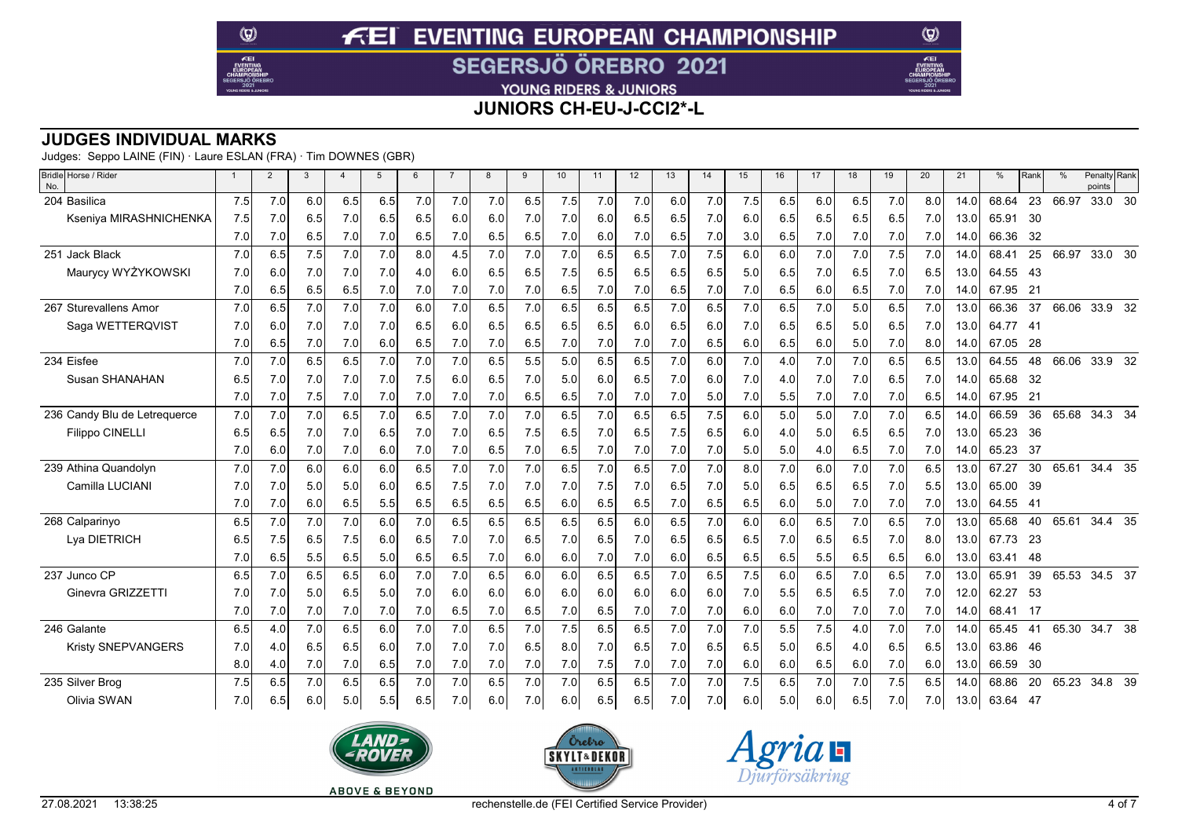YOUNG RIDERS & JUNIORS

**JUNIORS CH-EU-J-CCI2\*-L**

### **JUDGES INDIVIDUAL MARKS**

Judges: Seppo LAINE (FIN) · Laure ESLAN (FRA) · Tim DOWNES (GBR)

 $\circledcirc$ 

 $E$ EI

| Bridle Horse / Rider<br>No.  | $\mathbf{1}$ | $\overline{2}$ | 3   | $\overline{4}$ | $\overline{5}$ | 6   |     | 8   | 9   | 10  | 11  | 12  | 13  | 14  | 15  | 16  | 17  | 18  | 19  | 20  | 21   | %        | Rank            | $\frac{0}{0}$ | Penalty Rank<br>points |  |
|------------------------------|--------------|----------------|-----|----------------|----------------|-----|-----|-----|-----|-----|-----|-----|-----|-----|-----|-----|-----|-----|-----|-----|------|----------|-----------------|---------------|------------------------|--|
| 204 Basilica                 | 7.5          | 7.0            | 6.0 | 6.5            | 6.5            | 7.0 | 7.0 | 7.0 | 6.5 | 7.5 | 7.0 | 7.0 | 6.0 | 7.0 | 7.5 | 6.5 | 6.0 | 6.5 | 7.0 | 8.0 | 14.0 | 68.64    | 23              | 66.97         | 33.0 30                |  |
| Kseniya MIRASHNICHENKA       | 7.5          | 7.0            | 6.5 | 7.0            | 6.5            | 6.5 | 6.0 | 6.0 | 7.0 | 7.0 | 6.0 | 6.5 | 6.5 | 7.0 | 6.0 | 6.5 | 6.5 | 6.5 | 6.5 | 7.0 | 13.0 | 65.91    | 30              |               |                        |  |
|                              | 7.0          | 7.0            | 6.5 | 7.0            | 7.0            | 6.5 | 7.0 | 6.5 | 6.5 | 7.0 | 6.0 | 7.0 | 6.5 | 7.0 | 3.0 | 6.5 | 7.0 | 7.0 | 7.0 | 7.0 | 14.0 | 66.36    | 32              |               |                        |  |
| 251 Jack Black               | 7.0          | 6.5            | 7.5 | 7.0            | 7.0            | 8.0 | 4.5 | 7.0 | 7.0 | 7.0 | 6.5 | 6.5 | 7.0 | 7.5 | 6.0 | 6.0 | 7.0 | 7.0 | 7.5 | 7.0 | 14.0 | 68.41    | 25              | 66.97         | 33.0 30                |  |
| Maurycy WYŻYKOWSKI           | 7.0          | 6.0            | 7.0 | 7.0            | 7.0            | 4.0 | 6.0 | 6.5 | 6.5 | 7.5 | 6.5 | 6.5 | 6.5 | 6.5 | 5.0 | 6.5 | 7.0 | 6.5 | 7.0 | 6.5 | 13.0 | 64.55    | -43             |               |                        |  |
|                              | 7.0          | 6.5            | 6.5 | 6.5            | 7.0            | 7.0 | 7.0 | 7.0 | 7.0 | 6.5 | 7.0 | 7.0 | 6.5 | 7.0 | 7.0 | 6.5 | 6.0 | 6.5 | 7.0 | 7.0 | 14.0 | 67.95    | $\overline{21}$ |               |                        |  |
| 267 Sturevallens Amor        | 7.0          | 6.5            | 7.0 | 7.0            | 7.0            | 6.0 | 7.0 | 6.5 | 7.0 | 6.5 | 6.5 | 6.5 | 7.0 | 6.5 | 7.0 | 6.5 | 7.0 | 5.0 | 6.5 | 7.0 | 13.0 | 66.36    | 37              |               | 66.06 33.9 32          |  |
| Saga WETTERQVIST             | 7.0          | 6.0            | 7.0 | 7.0            | 7.0            | 6.5 | 6.0 | 6.5 | 6.5 | 6.5 | 6.5 | 6.0 | 6.5 | 6.0 | 7.0 | 6.5 | 6.5 | 5.0 | 6.5 | 7.0 | 13.0 | 64.77    | - 41            |               |                        |  |
|                              | 7.0          | 6.5            | 7.0 | 7.0            | 6.0            | 6.5 | 7.0 | 7.0 | 6.5 | 7.0 | 7.0 | 7.0 | 7.0 | 6.5 | 6.0 | 6.5 | 6.0 | 5.0 | 7.0 | 8.0 | 14.0 | 67.05    | -28             |               |                        |  |
| 234 Eisfee                   | 7.0          | 7.0            | 6.5 | 6.5            | 7.0            | 7.0 | 7.0 | 6.5 | 5.5 | 5.0 | 6.5 | 6.5 | 7.0 | 6.0 | 7.0 | 4.0 | 7.0 | 7.0 | 6.5 | 6.5 | 13.0 | 64.55    | 48              | 66.06         | 33.9 32                |  |
| Susan SHANAHAN               | 6.5          | 7.0            | 7.0 | 7.0            | 7.0            | 7.5 | 6.0 | 6.5 | 7.0 | 5.0 | 6.0 | 6.5 | 7.0 | 6.0 | 7.0 | 4.0 | 7.0 | 7.0 | 6.5 | 7.0 | 14.0 | 65.68    | 32              |               |                        |  |
|                              | 7.0          | 7.0            | 7.5 | 7.0            | 7.0            | 7.0 | 7.0 | 7.0 | 6.5 | 6.5 | 7.0 | 7.0 | 7.0 | 5.0 | 7.0 | 5.5 | 7.0 | 7.0 | 7.0 | 6.5 | 14.0 | 67.95    | 21              |               |                        |  |
| 236 Candy Blu de Letrequerce | 7.0          | 7.0            | 7.0 | 6.5            | 7.0            | 6.5 | 7.0 | 7.0 | 7.0 | 6.5 | 7.0 | 6.5 | 6.5 | 7.5 | 6.0 | 5.0 | 5.0 | 7.0 | 7.0 | 6.5 | 14.0 | 66.59    | 36              | 65.68         | 34.3 34                |  |
| <b>Filippo CINELLI</b>       | 6.5          | 6.5            | 7.0 | 7.0            | 6.5            | 7.0 | 7.0 | 6.5 | 7.5 | 6.5 | 7.0 | 6.5 | 7.5 | 6.5 | 6.0 | 4.0 | 5.0 | 6.5 | 6.5 | 7.0 | 13.0 | 65.23    | -36             |               |                        |  |
|                              | 7.0          | 6.0            | 7.0 | 7.0            | 6.0            | 7.0 | 7.0 | 6.5 | 7.0 | 6.5 | 7.0 | 7.0 | 7.0 | 7.0 | 5.0 | 5.0 | 4.0 | 6.5 | 7.0 | 7.0 | 14.0 | 65.23    | - 37            |               |                        |  |
| 239 Athina Quandolyn         | 7.0          | 7.0            | 6.0 | 6.0            | 6.0            | 6.5 | 7.0 | 7.0 | 7.0 | 6.5 | 7.0 | 6.5 | 7.0 | 7.0 | 8.0 | 7.0 | 6.0 | 7.0 | 7.0 | 6.5 | 13.0 | 67.27    | 30              | 65.61         | 34.4 35                |  |
| Camilla LUCIANI              | 7.0          | 7.0            | 5.0 | 5.0            | 6.0            | 6.5 | 7.5 | 7.0 | 7.0 | 7.0 | 7.5 | 7.0 | 6.5 | 7.0 | 5.0 | 6.5 | 6.5 | 6.5 | 7.0 | 5.5 | 13.0 | 65.00    | 39              |               |                        |  |
|                              | 7.0          | 7.0            | 6.0 | 6.5            | 5.5            | 6.5 | 6.5 | 6.5 | 6.5 | 6.0 | 6.5 | 6.5 | 7.0 | 6.5 | 6.5 | 6.0 | 5.0 | 7.0 | 7.0 | 7.0 | 13.0 | 64.55    | -41             |               |                        |  |
| 268 Calparinyo               | 6.5          | 7.0            | 7.0 | 7.0            | 6.0            | 7.0 | 6.5 | 6.5 | 6.5 | 6.5 | 6.5 | 6.0 | 6.5 | 7.0 | 6.0 | 6.0 | 6.5 | 7.0 | 6.5 | 7.0 | 13.0 | 65.68    | 40              | 65.61         | $34.4$ 35              |  |
| Lya DIETRICH                 | 6.5          | 7.5            | 6.5 | 7.5            | 6.0            | 6.5 | 7.0 | 7.0 | 6.5 | 7.0 | 6.5 | 7.0 | 6.5 | 6.5 | 6.5 | 7.0 | 6.5 | 6.5 | 7.0 | 8.0 | 13.0 | 67.73    | -23             |               |                        |  |
|                              | 7.0          | 6.5            | 5.5 | 6.5            | 5.0            | 6.5 | 6.5 | 7.0 | 6.0 | 6.0 | 7.0 | 7.0 | 6.0 | 6.5 | 6.5 | 6.5 | 5.5 | 6.5 | 6.5 | 6.0 | 13.0 | 63.41    | 48              |               |                        |  |
| 237 Junco CP                 | 6.5          | 7.0            | 6.5 | 6.5            | 6.0            | 7.0 | 7.0 | 6.5 | 6.0 | 6.0 | 6.5 | 6.5 | 7.0 | 6.5 | 7.5 | 6.0 | 6.5 | 7.0 | 6.5 | 7.0 | 13.0 | 65.91    | 39              | 65.53         | 34.5 $37$              |  |
| Ginevra GRIZZETTI            | 7.0          | 7.0            | 5.0 | 6.5            | 5.0            | 7.0 | 6.0 | 6.0 | 6.0 | 6.0 | 6.0 | 6.0 | 6.0 | 6.0 | 7.0 | 5.5 | 6.5 | 6.5 | 7.0 | 7.0 | 12.0 | 62.27    | - 53            |               |                        |  |
|                              | 7.0          | 7.0            | 7.0 | 7.0            | 7.0            | 7.0 | 6.5 | 7.0 | 6.5 | 7.0 | 6.5 | 7.0 | 7.0 | 7.0 | 6.0 | 6.0 | 7.0 | 7.0 | 7.0 | 7.0 | 14.0 | 68.41    | -17             |               |                        |  |
| 246 Galante                  | 6.5          | 4.0            | 7.0 | 6.5            | 6.0            | 7.0 | 7.0 | 6.5 | 7.0 | 7.5 | 6.5 | 6.5 | 7.0 | 7.0 | 7.0 | 5.5 | 7.5 | 4.0 | 7.0 | 7.0 | 14.0 | 65.45    | 41              | 65.30         | 34.7 38                |  |
| <b>Kristy SNEPVANGERS</b>    | 7.0          | 4.0            | 6.5 | 6.5            | 6.0            | 7.0 | 7.0 | 7.0 | 6.5 | 8.0 | 7.0 | 6.5 | 7.0 | 6.5 | 6.5 | 5.0 | 6.5 | 4.0 | 6.5 | 6.5 | 13.0 | 63.86    | 46              |               |                        |  |
|                              | 8.0          | 4.0            | 7.0 | 7.0            | 6.5            | 7.0 | 7.0 | 7.0 | 7.0 | 7.0 | 7.5 | 7.0 | 7.0 | 7.0 | 6.0 | 6.0 | 6.5 | 6.0 | 7.0 | 6.0 | 13.0 | 66.59    | 30              |               |                        |  |
| 235 Silver Brog              | 7.5          | 6.5            | 7.0 | 6.5            | 6.5            | 7.0 | 7.0 | 6.5 | 7.0 | 7.0 | 6.5 | 6.5 | 7.0 | 7.0 | 7.5 | 6.5 | 7.0 | 7.0 | 7.5 | 6.5 | 14.0 | 68.86    | 20              | 65.23         | 34.8 39                |  |
| Olivia SWAN                  | 7.0          | 6.5            | 6.0 | 5.0            | 5.5            | 6.5 | 7.0 | 6.0 | 7.0 | 6.0 | 6.5 | 6.5 | 7.0 | 7.0 | 6.0 | 5.0 | 6.0 | 6.5 | 7.0 | 7.0 | 13.0 | 63.64 47 |                 |               |                        |  |







 $\circledcirc$ 

Æ

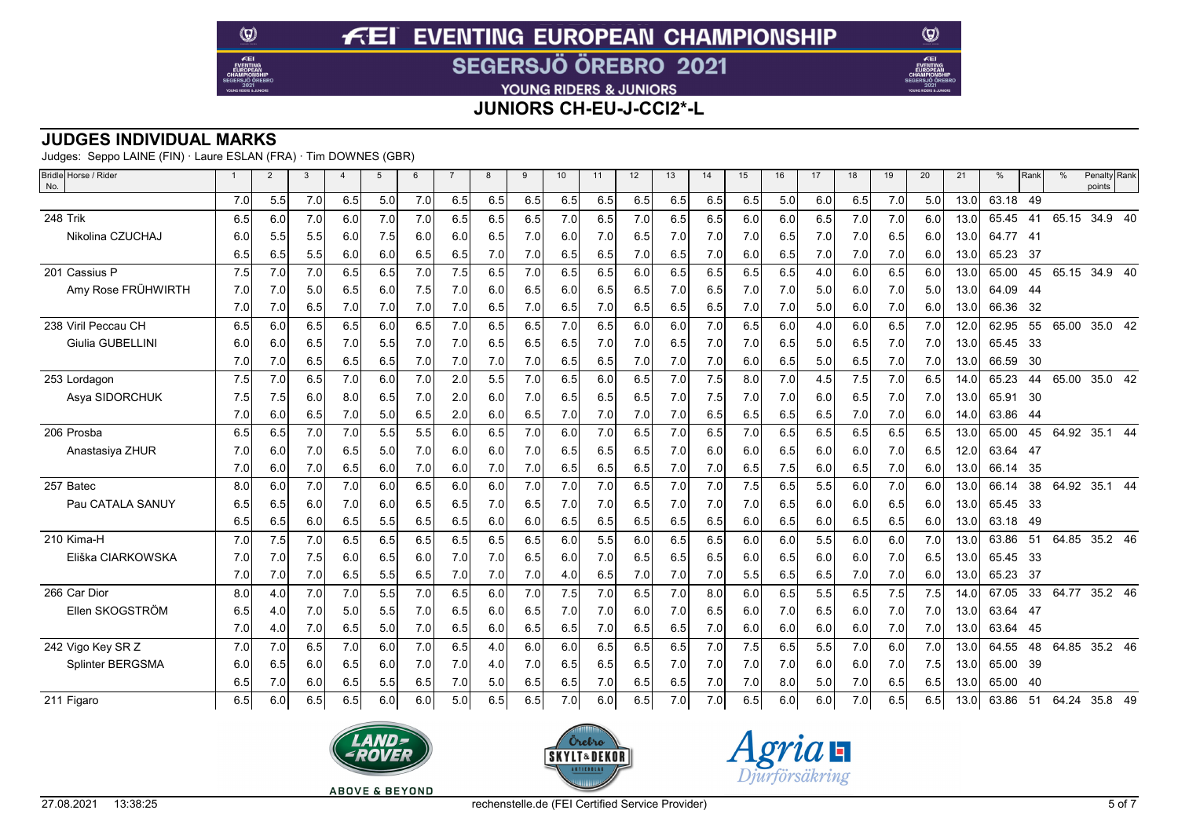YOUNG RIDERS & JUNIORS

**JUNIORS CH-EU-J-CCI2\*-L**

### **JUDGES INDIVIDUAL MARKS**

Judges: Seppo LAINE (FIN) · Laure ESLAN (FRA) · Tim DOWNES (GBR)

 $\circledcirc$ 

 $E$ EI

| Bridle Horse / Rider<br>No. | -1  | $\overline{2}$ | 3   | $\overline{a}$ | 5   | 6   | $\overline{7}$ | 8   | 9   | 10  | 11  | 12  | 13  | 14  | 15  | 16  | 17  | 18  | 19  | 20  | 21   | %     | Rank | $\frac{0}{0}$ | Penalty Rank<br>points |  |
|-----------------------------|-----|----------------|-----|----------------|-----|-----|----------------|-----|-----|-----|-----|-----|-----|-----|-----|-----|-----|-----|-----|-----|------|-------|------|---------------|------------------------|--|
|                             | 7.0 | 5.5            | 7.0 | 6.5            | 5.0 | 7.0 | 6.5            | 6.5 | 6.5 | 6.5 | 6.5 | 6.5 | 6.5 | 6.5 | 6.5 | 5.0 | 6.0 | 6.5 | 7.0 | 5.0 | 13.0 | 63.18 | -49  |               |                        |  |
| 248 Trik                    | 6.5 | 6.0            | 7.0 | 6.0            | 7.0 | 7.0 | 6.5            | 6.5 | 6.5 | 7.0 | 6.5 | 7.0 | 6.5 | 6.5 | 6.0 | 6.0 | 6.5 | 7.0 | 7.0 | 6.0 | 13.0 | 65.45 | 41   | 65.15         | 34.9 40                |  |
| Nikolina CZUCHAJ            | 6.0 | 5.5            | 5.5 | 6.0            | 7.5 | 6.0 | 6.0            | 6.5 | 7.0 | 6.0 | 7.0 | 6.5 | 7.0 | 7.0 | 7.0 | 6.5 | 7.0 | 7.0 | 6.5 | 6.0 | 13.0 | 64.77 | - 41 |               |                        |  |
|                             | 6.5 | 6.5            | 5.5 | 6.0            | 6.0 | 6.5 | 6.5            | 7.0 | 7.0 | 6.5 | 6.5 | 7.0 | 6.5 | 7.0 | 6.0 | 6.5 | 7.0 | 7.0 | 7.0 | 6.0 | 13.0 | 65.23 | -37  |               |                        |  |
| 201 Cassius P               | 7.5 | 7.0            | 7.0 | 6.5            | 6.5 | 7.0 | 7.5            | 6.5 | 7.0 | 6.5 | 6.5 | 6.0 | 6.5 | 6.5 | 6.5 | 6.5 | 4.0 | 6.0 | 6.5 | 6.0 | 13.0 | 65.00 | 45   | 65.15         | 34.9 40                |  |
| Amy Rose FRÜHWIRTH          | 7.0 | 7.0            | 5.0 | 6.5            | 6.0 | 7.5 | 7.0            | 6.0 | 6.5 | 6.0 | 6.5 | 6.5 | 7.0 | 6.5 | 7.0 | 7.0 | 5.0 | 6.0 | 7.0 | 5.0 | 13.0 | 64.09 | -44  |               |                        |  |
|                             | 7.0 | 7.0            | 6.5 | 7.0            | 7.0 | 7.0 | 7.0            | 6.5 | 7.0 | 6.5 | 7.0 | 6.5 | 6.5 | 6.5 | 7.0 | 7.0 | 5.0 | 6.0 | 7.0 | 6.0 | 13.0 | 66.36 | -32  |               |                        |  |
| 238 Viril Peccau CH         | 6.5 | 6.0            | 6.5 | 6.5            | 6.0 | 6.5 | 7.0            | 6.5 | 6.5 | 7.0 | 6.5 | 6.0 | 6.0 | 7.0 | 6.5 | 6.0 | 4.0 | 6.0 | 6.5 | 7.0 | 12.0 | 62.95 | 55   | 65.00         | 35.0 42                |  |
| <b>Giulia GUBELLINI</b>     | 6.0 | 6.0            | 6.5 | 7.0            | 5.5 | 7.0 | 7.0            | 6.5 | 6.5 | 6.5 | 7.0 | 7.0 | 6.5 | 7.0 | 7.0 | 6.5 | 5.0 | 6.5 | 7.0 | 7.0 | 13.0 | 65.45 | - 33 |               |                        |  |
|                             | 7.0 | 7.0            | 6.5 | 6.5            | 6.5 | 7.0 | 7.0            | 7.0 | 7.0 | 6.5 | 6.5 | 7.0 | 7.0 | 7.0 | 6.0 | 6.5 | 5.0 | 6.5 | 7.0 | 7.0 | 13.0 | 66.59 | 30   |               |                        |  |
| 253 Lordagon                | 7.5 | 7.0            | 6.5 | 7.0            | 6.0 | 7.0 | 2.0            | 5.5 | 7.0 | 6.5 | 6.0 | 6.5 | 7.0 | 7.5 | 8.0 | 7.0 | 4.5 | 7.5 | 7.0 | 6.5 | 14.0 | 65.23 | 44   | 65.00         | 35.0 42                |  |
| Asya SIDORCHUK              | 7.5 | 7.5            | 6.0 | 8.0            | 6.5 | 7.0 | 2.0            | 6.0 | 7.0 | 6.5 | 6.5 | 6.5 | 7.0 | 7.5 | 7.0 | 7.0 | 6.0 | 6.5 | 7.0 | 7.0 | 13.0 | 65.91 | 30   |               |                        |  |
|                             | 7.0 | 6.0            | 6.5 | 7.0            | 5.0 | 6.5 | 2.0            | 6.0 | 6.5 | 7.0 | 7.0 | 7.0 | 7.0 | 6.5 | 6.5 | 6.5 | 6.5 | 7.0 | 7.0 | 6.0 | 14.0 | 63.86 | -44  |               |                        |  |
| 206 Prosba                  | 6.5 | 6.5            | 7.0 | 7.0            | 5.5 | 5.5 | 6.0            | 6.5 | 7.0 | 6.0 | 7.0 | 6.5 | 7.0 | 6.5 | 7.0 | 6.5 | 6.5 | 6.5 | 6.5 | 6.5 | 13.0 | 65.00 | 45   | 64.92         | 35.1 44                |  |
| Anastasiya ZHUR             | 7.0 | 6.0            | 7.0 | 6.5            | 5.0 | 7.0 | 6.0            | 6.0 | 7.0 | 6.5 | 6.5 | 6.5 | 7.0 | 6.0 | 6.0 | 6.5 | 6.0 | 6.0 | 7.0 | 6.5 | 12.0 | 63.64 | - 47 |               |                        |  |
|                             | 7.0 | 6.0            | 7.0 | 6.5            | 6.0 | 7.0 | 6.0            | 7.0 | 7.0 | 6.5 | 6.5 | 6.5 | 7.0 | 7.0 | 6.5 | 7.5 | 6.0 | 6.5 | 7.0 | 6.0 | 13.0 | 66.14 | 35   |               |                        |  |
| 257 Batec                   | 8.0 | 6.0            | 7.0 | 7.0            | 6.0 | 6.5 | 6.0            | 6.0 | 7.0 | 7.0 | 7.0 | 6.5 | 7.0 | 7.0 | 7.5 | 6.5 | 5.5 | 6.0 | 7.0 | 6.0 | 13.0 | 66.14 | 38   | 64.92         | 35.1 44                |  |
| Pau CATALA SANUY            | 6.5 | 6.5            | 6.0 | 7.0            | 6.0 | 6.5 | 6.5            | 7.0 | 6.5 | 7.0 | 7.0 | 6.5 | 7.0 | 7.0 | 7.0 | 6.5 | 6.0 | 6.0 | 6.5 | 6.0 | 13.0 | 65.45 | - 33 |               |                        |  |
|                             | 6.5 | 6.5            | 6.0 | 6.5            | 5.5 | 6.5 | 6.5            | 6.0 | 6.0 | 6.5 | 6.5 | 6.5 | 6.5 | 6.5 | 6.0 | 6.5 | 6.0 | 6.5 | 6.5 | 6.0 | 13.0 | 63.18 | -49  |               |                        |  |
| 210 Kima-H                  | 7.0 | 7.5            | 7.0 | 6.5            | 6.5 | 6.5 | 6.5            | 6.5 | 6.5 | 6.0 | 5.5 | 6.0 | 6.5 | 6.5 | 6.0 | 6.0 | 5.5 | 6.0 | 6.0 | 7.0 | 13.0 | 63.86 | 51   | 64.85         | 35.2 46                |  |
| Eliška CIARKOWSKA           | 7.0 | 7.0            | 7.5 | 6.0            | 6.5 | 6.0 | 7.0            | 7.0 | 6.5 | 6.0 | 7.0 | 6.5 | 6.5 | 6.5 | 6.0 | 6.5 | 6.0 | 6.0 | 7.0 | 6.5 | 13.0 | 65.45 | - 33 |               |                        |  |
|                             | 7.0 | 7.0            | 7.0 | 6.5            | 5.5 | 6.5 | 7.0            | 7.0 | 7.0 | 4.0 | 6.5 | 7.0 | 7.0 | 7.0 | 5.5 | 6.5 | 6.5 | 7.0 | 7.0 | 6.0 | 13.0 | 65.23 | 37   |               |                        |  |
| 266 Car Dior                | 8.0 | 4.0            | 7.0 | 7.0            | 5.5 | 7.0 | 6.5            | 6.0 | 7.0 | 7.5 | 7.0 | 6.5 | 7.0 | 8.0 | 6.0 | 6.5 | 5.5 | 6.5 | 7.5 | 7.5 | 14.0 | 67.05 | 33   | 64.77         | 35.2 46                |  |
| Ellen SKOGSTRÖM             | 6.5 | 4.0            | 7.0 | 5.0            | 5.5 | 7.0 | 6.5            | 6.0 | 6.5 | 7.0 | 7.0 | 6.0 | 7.0 | 6.5 | 6.0 | 7.0 | 6.5 | 6.0 | 7.0 | 7.0 | 13.0 | 63.64 | - 47 |               |                        |  |
|                             | 7.0 | 4.0            | 7.0 | 6.5            | 5.0 | 7.0 | 6.5            | 6.0 | 6.5 | 6.5 | 7.0 | 6.5 | 6.5 | 7.0 | 6.0 | 6.0 | 6.0 | 6.0 | 7.0 | 7.0 | 13.0 | 63.64 | -45  |               |                        |  |
| 242 Vigo Key SR Z           | 7.0 | 7.0            | 6.5 | 7.0            | 6.0 | 7.0 | 6.5            | 4.0 | 6.0 | 6.0 | 6.5 | 6.5 | 6.5 | 7.0 | 7.5 | 6.5 | 5.5 | 7.0 | 6.0 | 7.0 | 13.0 | 64.55 | 48   | 64.85         | 35.2 46                |  |
| Splinter BERGSMA            | 6.0 | 6.5            | 6.0 | 6.5            | 6.0 | 7.0 | 7.0            | 4.0 | 7.0 | 6.5 | 6.5 | 6.5 | 7.0 | 7.0 | 7.0 | 7.0 | 6.0 | 6.0 | 7.0 | 7.5 | 13.0 | 65.00 | 39   |               |                        |  |
|                             | 6.5 | 7.0            | 6.0 | 6.5            | 5.5 | 6.5 | 7.0            | 5.0 | 6.5 | 6.5 | 7.0 | 6.5 | 6.5 | 7.0 | 7.0 | 8.0 | 5.0 | 7.0 | 6.5 | 6.5 | 13.0 | 65.00 | -40  |               |                        |  |
| 211 Figaro                  | 6.5 | 6.0            | 6.5 | 6.5            | 6.0 | 6.0 | 5.0            | 6.5 | 6.5 | 7.0 | 6.0 | 6.5 | 7.0 | 7.0 | 6.5 | 6.0 | 6.0 | 7.0 | 6.5 | 6.5 | 13.0 | 63.86 | 51   | 64.24 35.8 49 |                        |  |







 $\circledcirc$ 

Æ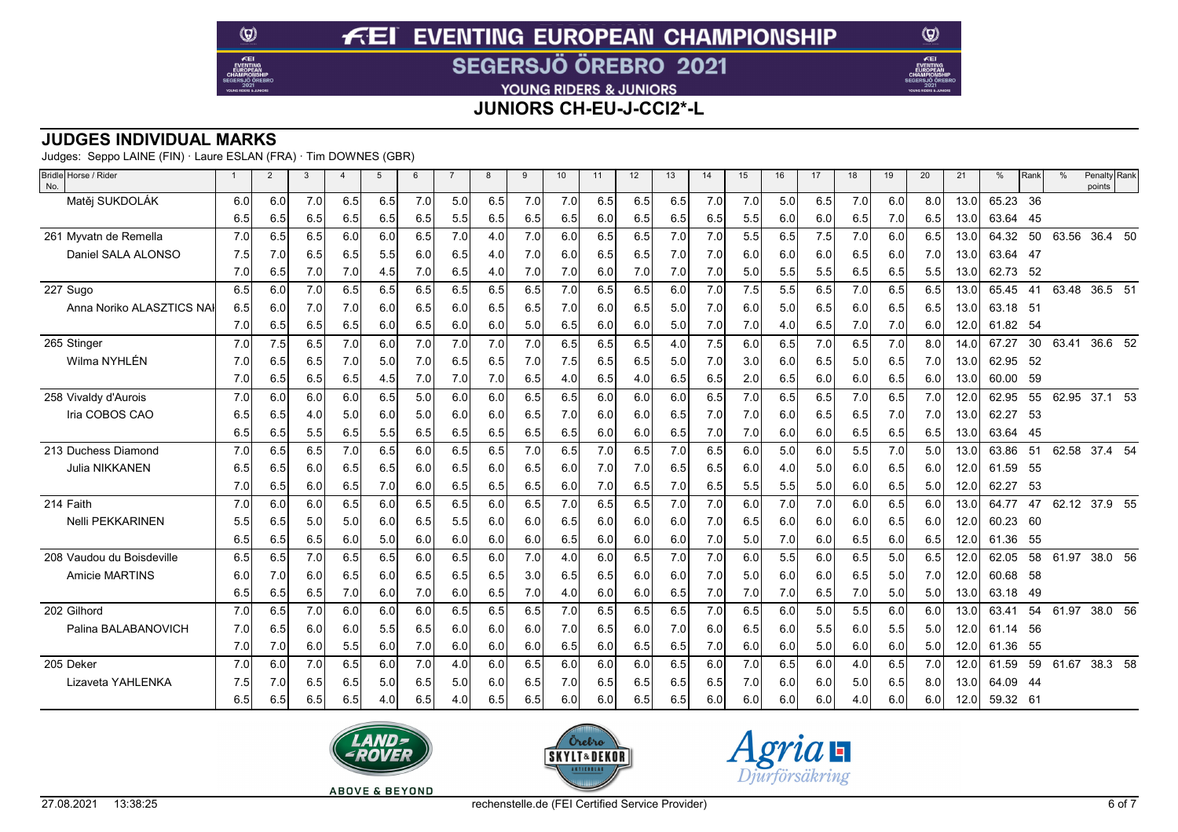YOUNG RIDERS & JUNIORS

**JUNIORS CH-EU-J-CCI2\*-L**

### **JUDGES INDIVIDUAL MARKS**

Judges: Seppo LAINE (FIN) · Laure ESLAN (FRA) · Tim DOWNES (GBR)

 $\circledcirc$ 

 $E$ EI

| Bridle Horse / Rider<br>No. | $\mathbf{1}$ | $\overline{2}$ | 3   | $\overline{4}$ | $\overline{5}$ | 6   |     | 8   | 9   | 10  | 11  | 12  | 13  | 14  | 15  | 16  | 17  | 18  | 19  | 20  | 21   | %        | Rank           | $\%$  | Penalty Rank<br>points |
|-----------------------------|--------------|----------------|-----|----------------|----------------|-----|-----|-----|-----|-----|-----|-----|-----|-----|-----|-----|-----|-----|-----|-----|------|----------|----------------|-------|------------------------|
| Matěj SUKDOLÁK              | 6.0          | 6.0            | 7.0 | 6.5            | 6.5            | 7.0 | 5.0 | 6.5 | 7.0 | 7.0 | 6.5 | 6.5 | 6.5 | 7.0 | 7.0 | 5.0 | 6.5 | 7.0 | 6.0 | 8.0 | 13.0 | 65.23    | 36             |       |                        |
|                             | 6.5          | 6.5            | 6.5 | 6.5            | 6.5            | 6.5 | 5.5 | 6.5 | 6.5 | 6.5 | 6.0 | 6.5 | 6.5 | 6.5 | 5.5 | 6.0 | 6.0 | 6.5 | 7.0 | 6.5 | 13.0 | 63.64    | 45             |       |                        |
| 261 Myyatn de Remella       | 7.0          | 6.5            | 6.5 | 6.0            | 6.0            | 6.5 | 7.0 | 4.0 | 7.0 | 6.0 | 6.5 | 6.5 | 7.0 | 7.0 | 5.5 | 6.5 | 7.5 | 7.0 | 6.0 | 6.5 | 13.0 | 64.32    | 50             | 63.56 | 36.4 50                |
| Daniel SALA ALONSO          | 7.5          | 7.0            | 6.5 | 6.5            | 5.5            | 6.0 | 6.5 | 4.0 | 7.0 | 6.0 | 6.5 | 6.5 | 7.0 | 7.0 | 6.0 | 6.0 | 6.0 | 6.5 | 6.0 | 7.0 | 13.0 | 63.64    | -47            |       |                        |
|                             | 7.0          | 6.5            | 7.0 | 7.0            | 4.5            | 7.0 | 6.5 | 4.0 | 7.0 | 7.0 | 6.0 | 7.0 | 7.0 | 7.0 | 5.0 | 5.5 | 5.5 | 6.5 | 6.5 | 5.5 | 13.0 | 62.73    | - 52           |       |                        |
| 227 Sugo                    | 6.5          | 6.0            | 7.0 | 6.5            | 6.5            | 6.5 | 6.5 | 6.5 | 6.5 | 7.0 | 6.5 | 6.5 | 6.0 | 7.0 | 7.5 | 5.5 | 6.5 | 7.0 | 6.5 | 6.5 | 13.0 | 65.45    | 41             | 63.48 | 36.5 51                |
| Anna Noriko ALASZTICS NA    | 6.5          | 6.0            | 7.0 | 7.0            | 6.0            | 6.5 | 6.0 | 6.5 | 6.5 | 7.0 | 6.0 | 6.5 | 5.0 | 7.0 | 6.0 | 5.0 | 6.5 | 6.0 | 6.5 | 6.5 | 13.0 | 63.18    | 5 <sup>1</sup> |       |                        |
|                             | 7.0          | 6.5            | 6.5 | 6.5            | 6.0            | 6.5 | 6.0 | 6.0 | 5.0 | 6.5 | 6.0 | 6.0 | 5.0 | 7.0 | 7.0 | 4.0 | 6.5 | 7.0 | 7.0 | 6.0 | 12.0 | 61.82    | - 54           |       |                        |
| 265 Stinger                 | 7.0          | 7.5            | 6.5 | 7.0            | 6.0            | 7.0 | 7.0 | 7.0 | 7.0 | 6.5 | 6.5 | 6.5 | 4.0 | 7.5 | 6.0 | 6.5 | 7.0 | 6.5 | 7.0 | 8.0 | 14.0 | 67.27    | 30             | 63.41 | $36.6$ $52$            |
| Wilma NYHLÉN                | 7.0          | 6.5            | 6.5 | 7.0            | 5.0            | 7.0 | 6.5 | 6.5 | 7.0 | 7.5 | 6.5 | 6.5 | 5.0 | 7.0 | 3.0 | 6.0 | 6.5 | 5.0 | 6.5 | 7.0 | 13.0 | 62.95    | -52            |       |                        |
|                             | 7.0          | 6.5            | 6.5 | 6.5            | -4.5           | 7.0 | 7.0 | 7.0 | 6.5 | 4.0 | 6.5 | 4.0 | 6.5 | 6.5 | 2.0 | 6.5 | 6.0 | 6.0 | 6.5 | 6.0 | 13.0 | 60.00    | 59             |       |                        |
| 258 Vivaldy d'Aurois        | 7.0          | 6.0            | 6.0 | 6.0            | 6.5            | 5.0 | 6.0 | 6.0 | 6.5 | 6.5 | 6.0 | 6.0 | 6.0 | 6.5 | 7.0 | 6.5 | 6.5 | 7.0 | 6.5 | 7.0 | 12.0 | 62.95    | 55             | 62.95 | 37.1 53                |
| Iria COBOS CAO              | 6.5          | 6.5            | 4.0 | 5.0            | 6.0            | 5.0 | 6.0 | 6.0 | 6.5 | 7.0 | 6.0 | 6.0 | 6.5 | 7.0 | 7.0 | 6.0 | 6.5 | 6.5 | 7.0 | 7.0 | 13.0 | 62.27    | 53             |       |                        |
|                             | 6.5          | 6.5            | 5.5 | 6.5            | 5.5            | 6.5 | 6.5 | 6.5 | 6.5 | 6.5 | 6.0 | 6.0 | 6.5 | 7.0 | 7.0 | 6.0 | 6.0 | 6.5 | 6.5 | 6.5 | 13.0 | 63.64    | - 45           |       |                        |
| 213 Duchess Diamond         | 7.0          | 6.5            | 6.5 | 7.0            | 6.5            | 6.0 | 6.5 | 6.5 | 7.0 | 6.5 | 7.0 | 6.5 | 7.0 | 6.5 | 6.0 | 5.0 | 6.0 | 5.5 | 7.0 | 5.0 | 13.0 | 63.86    | 51             | 62.58 | 37.4 54                |
| Julia NIKKANEN              | 6.5          | 6.5            | 6.0 | 6.5            | 6.5            | 6.0 | 6.5 | 6.0 | 6.5 | 6.0 | 7.0 | 7.0 | 6.5 | 6.5 | 6.0 | 4.0 | 5.0 | 6.0 | 6.5 | 6.0 | 12.0 | 61.59    | -55            |       |                        |
|                             | 7.0          | 6.5            | 6.0 | 6.5            | 7.0            | 6.0 | 6.5 | 6.5 | 6.5 | 6.0 | 7.0 | 6.5 | 7.0 | 6.5 | 5.5 | 5.5 | 5.0 | 6.0 | 6.5 | 5.0 | 12.0 | 62.27    | 53             |       |                        |
| 214 Faith                   | 7.0          | 6.0            | 6.0 | 6.5            | 6.0            | 6.5 | 6.5 | 6.0 | 6.5 | 7.0 | 6.5 | 6.5 | 7.0 | 7.0 | 6.0 | 7.0 | 7.0 | 6.0 | 6.5 | 6.0 | 13.0 | 64.77    | 47             | 62.12 | $37.9$ 55              |
| <b>Nelli PEKKARINEN</b>     | 5.5          | 6.5            | 5.0 | 5.0            | 6.0            | 6.5 | 5.5 | 6.0 | 6.0 | 6.5 | 6.0 | 6.0 | 6.0 | 7.0 | 6.5 | 6.0 | 6.0 | 6.0 | 6.5 | 6.0 | 12.0 | 60.23    | -60            |       |                        |
|                             | 6.5          | 6.5            | 6.5 | 6.0            | 5.0            | 6.0 | 6.0 | 6.0 | 6.0 | 6.5 | 6.0 | 6.0 | 6.0 | 7.0 | 5.0 | 7.0 | 6.0 | 6.5 | 6.0 | 6.5 | 12.0 | 61.36    | -55            |       |                        |
| 208 Vaudou du Boisdeville   | 6.5          | 6.5            | 7.0 | 6.5            | 6.5            | 6.0 | 6.5 | 6.0 | 7.0 | 4.0 | 6.0 | 6.5 | 7.0 | 7.0 | 6.0 | 5.5 | 6.0 | 6.5 | 5.0 | 6.5 | 12.0 | 62.05    | 58             | 61.97 | 38.0 56                |
| <b>Amicie MARTINS</b>       | 6.0          | 7.0            | 6.0 | 6.5            | 6.0            | 6.5 | 6.5 | 6.5 | 3.0 | 6.5 | 6.5 | 6.0 | 6.0 | 7.0 | 5.0 | 6.0 | 6.0 | 6.5 | 5.0 | 7.0 | 12.0 | 60.68    | - 58           |       |                        |
|                             | 6.5          | 6.5            | 6.5 | 7.0            | 6.0            | 7.0 | 6.0 | 6.5 | 7.0 | 4.0 | 6.0 | 6.0 | 6.5 | 7.0 | 7.0 | 7.0 | 6.5 | 7.0 | 5.0 | 5.0 | 13.0 | 63.18    | -49            |       |                        |
| 202 Gilhord                 | 7.0          | 6.5            | 7.0 | 6.0            | 6.0            | 6.0 | 6.5 | 6.5 | 6.5 | 7.0 | 6.5 | 6.5 | 6.5 | 7.0 | 6.5 | 6.0 | 5.0 | 5.5 | 6.0 | 6.0 | 13.0 | 63.41    | 54             | 61.97 | 38.0 56                |
| Palina BALABANOVICH         | 7.0          | 6.5            | 6.0 | 6.0            | 5.5            | 6.5 | 6.0 | 6.0 | 6.0 | 7.0 | 6.5 | 6.0 | 7.0 | 6.0 | 6.5 | 6.0 | 5.5 | 6.0 | 5.5 | 5.0 | 12.0 | 61.14    | 56             |       |                        |
|                             | 7.0          | 7.0            | 6.0 | 5.5            | 6.0            | 7.0 | 6.0 | 6.0 | 6.0 | 6.5 | 6.0 | 6.5 | 6.5 | 7.0 | 6.0 | 6.0 | 5.0 | 6.0 | 6.0 | 5.0 | 12.0 | 61.36    | 55             |       |                        |
| 205 Deker                   | 7.0          | 6.0            | 7.0 | 6.5            | 6.0            | 7.0 | 4.0 | 6.0 | 6.5 | 6.0 | 6.0 | 6.0 | 6.5 | 6.0 | 7.0 | 6.5 | 6.0 | 4.0 | 6.5 | 7.0 | 12.0 | 61.59    | 59             | 61.67 | 38.3 58                |
| Lizaveta YAHLENKA           | 7.5          | 7.0            | 6.5 | 6.5            | 5.0            | 6.5 | 5.0 | 6.0 | 6.5 | 7.0 | 6.5 | 6.5 | 6.5 | 6.5 | 7.0 | 6.0 | 6.0 | 5.0 | 6.5 | 8.0 | 13.0 | 64.09    | -44            |       |                        |
|                             | 6.5          | 6.5            | 6.5 | 6.5            | 4.0            | 6.5 | 4.0 | 6.5 | 6.5 | 6.0 | 6.0 | 6.5 | 6.5 | 6.0 | 6.0 | 6.0 | 6.0 | 4.0 | 6.0 | 6.0 | 12.0 | 59.32 61 |                |       |                        |







 $\circledcirc$ 

Æ